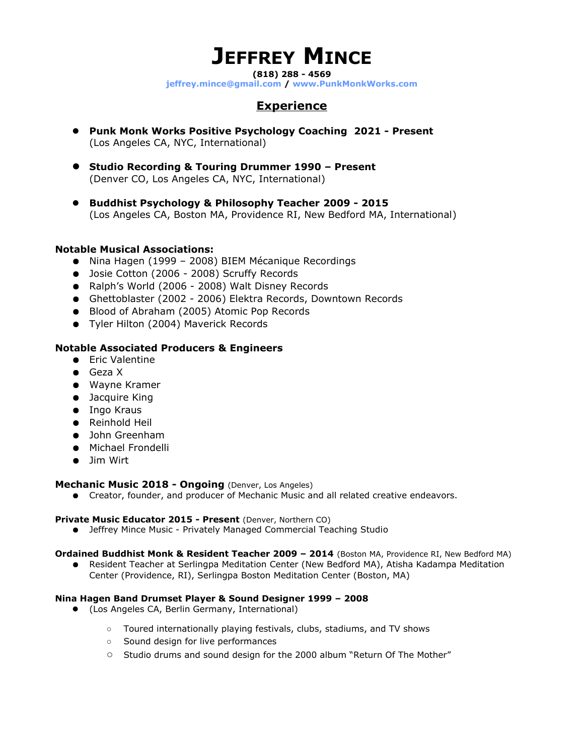# **JEFFREY MINCE**

**(818) 288 - 4569**

**[jeffrey.mince@gmail.com](mailto:jeffrey.mince@gmail.com) / [www.P](http://www.revelatormusic.com/)unkMonkWork[s.com](http://www.jeffreymince.com/)**

## **Experience**

- **Punk Monk Works Positive Psychology Coaching 2021 Present** (Los Angeles CA, NYC, International)
- **Studio Recording & Touring Drummer 1990 Present** (Denver CO, Los Angeles CA, NYC, International)
- **Buddhist Psychology & Philosophy Teacher 2009 2015** (Los Angeles CA, Boston MA, Providence RI, New Bedford MA, International)

### **Notable Musical Associations:**

- Nina Hagen (1999 2008) BIEM Mécanique Recordings
- Josie Cotton (2006 2008) Scruffy Records
- Ralph's World (2006 2008) Walt Disney Records
- Ghettoblaster (2002 2006) Elektra Records, Downtown Records
- Blood of Abraham (2005) Atomic Pop Records
- Tyler Hilton (2004) Maverick Records

### **Notable Associated Producers & Engineers**

- Eric Valentine
- Geza X
- Wayne Kramer
- Jacquire King
- Ingo Kraus
- Reinhold Heil
- John Greenham
- Michael Frondelli
- Jim Wirt

#### **Mechanic Music 2018 - Ongoing** (Denver, Los Angeles)

● Creator, founder, and producer of Mechanic Music and all related creative endeavors.

#### **Private Music Educator 2015 - Present** (Denver, Northern CO)

● Jeffrey Mince Music - Privately Managed Commercial Teaching Studio

#### **Ordained Buddhist Monk & Resident Teacher 2009 – 2014** (Boston MA, Providence RI, New Bedford MA)

● Resident Teacher at Serlingpa Meditation Center (New Bedford MA), Atisha Kadampa Meditation Center (Providence, RI), Serlingpa Boston Meditation Center (Boston, MA)

#### **Nina Hagen Band Drumset Player & Sound Designer 1999 – 2008**

- (Los Angeles CA, Berlin Germany, International)
	- Toured internationally playing festivals, clubs, stadiums, and TV shows
	- Sound design for live performances
	- Studio drums and sound design for the 2000 album "Return Of The Mother"